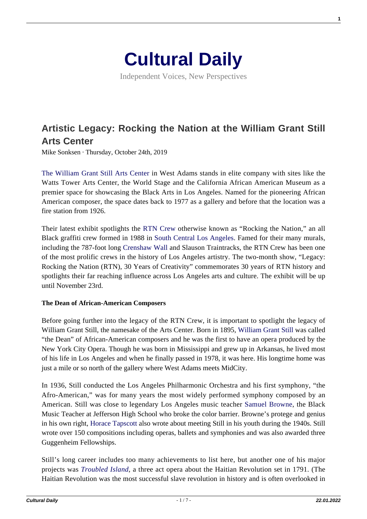

Independent Voices, New Perspectives

# **[Artistic Legacy: Rocking the Nation at the William Grant Still](https://culturaldaily.com/artistic-legacy-rocking-nation-william-grant-still-arts-center/) [Arts Center](https://culturaldaily.com/artistic-legacy-rocking-nation-william-grant-still-arts-center/)**

Mike Sonksen · Thursday, October 24th, 2019

[The William Grant Still Arts Center](https://wgsac.wordpress.com/about/wgsac-history/) in West Adams stands in elite company with sites like the Watts Tower Arts Center, the World Stage and the California African American Museum as a premier space for showcasing the Black Arts in Los Angeles. Named for the pioneering African American composer, the space dates back to 1977 as a gallery and before that the location was a fire station from 1926.

Their latest exhibit spotlights the [RTN Crew](https://culturela.org/event/the-william-grant-still-arts-center-presents-legacy-rocking-the-nation-rtn-30-years-of-creativity/2019-10-16/) otherwise known as "Rocking the Nation," an all Black graffiti crew formed in 1988 in [South Central Los Angeles](https://www.kcet.org/shows/city-rising/the-history-of-south-central-los-angeles-and-its-struggle-with-gentrification). Famed for their many murals, including the 787-foot long [Crenshaw Wall](https://ultrawav0.wixsite.com/crenshawwall) and Slauson Traintracks, the RTN Crew has been one of the most prolific crews in the history of Los Angeles artistry. The two-month show, "Legacy: Rocking the Nation (RTN), 30 Years of Creativity" commemorates 30 years of RTN history and spotlights their far reaching influence across Los Angeles arts and culture. The exhibit will be up until November 23rd.

#### **The Dean of African-American Composers**

Before going further into the legacy of the RTN Crew, it is important to spotlight the legacy of William Grant Still, the namesake of the Arts Center. Born in 1895, [William Grant Still](https://www.britannica.com/biography/William-Grant-Still) was called "the Dean" of African-American composers and he was the first to have an opera produced by the New York City Opera. Though he was born in Mississippi and grew up in Arkansas, he lived most of his life in Los Angeles and when he finally passed in 1978, it was here. His longtime home was just a mile or so north of the gallery where West Adams meets MidCity.

In 1936, Still conducted the Los Angeles Philharmonic Orchestra and his first symphony, "the Afro-American," was for many years the most widely performed symphony composed by an American. Still was close to legendary Los Angeles music teacher [Samuel Browne](https://www.kcet.org/shows/artbound/samuel-rodney-browne-jazz-jefferson-high-school), the Black Music Teacher at Jefferson High School who broke the color barrier. Browne's protege and genius in his own right, [Horace Tapscott](https://www.kcet.org/shows/artbound/passing-the-magic-horace-tapscott-and-his-pan-afrikan-peoples-arkestra) also wrote about meeting Still in his youth during the 1940s. Still wrote over 150 compositions including operas, ballets and symphonies and was also awarded three Guggenheim Fellowships.

Still's long career includes too many achievements to list here, but another one of his major projects was *[Troubled Island](http://www.williamgrantstill.com/TroubledIsland/Troubled%20Island.htm)*, a three act opera about the Haitian Revolution set in 1791. (The Haitian Revolution was the most successful slave revolution in history and is often overlooked in

**1**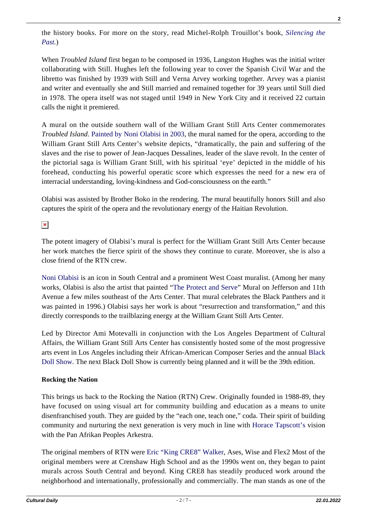the history books. For more on the story, read Michel-Rolph Trouillot's book, *[Silencing the](http://www.beacon.org/Silencing-the-Past-P1109.aspx) [Past](http://www.beacon.org/Silencing-the-Past-P1109.aspx).*)

When *Troubled Island* first began to be composed in 1936, Langston Hughes was the initial writer collaborating with Still. Hughes left the following year to cover the Spanish Civil War and the libretto was finished by 1939 with Still and Verna Arvey working together. Arvey was a pianist and writer and eventually she and Still married and remained together for 39 years until Still died in 1978. The opera itself was not staged until 1949 in New York City and it received 22 curtain calls the night it premiered.

A mural on the outside southern wall of the William Grant Still Arts Center commemorates *Troubled Island*. [Painted by Noni Olabisi in 2003](http://www.williamgrantstill.com/TroubledIsland/William%20Grant%20Still%20Art%20Center%20and%20Mural.htm), the mural named for the opera, according to the William Grant Still Arts Center's website depicts, "dramatically, the pain and suffering of the slaves and the rise to power of Jean-Jacques Dessalines, leader of the slave revolt. In the center of the pictorial saga is William Grant Still, with his spiritual 'eye' depicted in the middle of his forehead, conducting his powerful operatic score which expresses the need for a new era of interracial understanding, loving-kindness and God-consciousness on the earth."

Olabisi was assisted by Brother Boko in the rendering. The mural beautifully honors Still and also captures the spirit of the opera and the revolutionary energy of the Haitian Revolution.

 $\pmb{\times}$ 

The potent imagery of Olabisi's mural is perfect for the William Grant Still Arts Center because her work matches the fierce spirit of the shows they continue to curate. Moreover, she is also a close friend of the RTN crew.

[Noni Olabisi](https://sparcinla.org/noniolabisiinterview/) is an icon in South Central and a prominent West Coast muralist. (Among her many works, Olabisi is also the artist that painted "[The Protect and Serve](https://www.muralconservancy.org/murals/protect-and-serve)" Mural on Jefferson and 11th Avenue a few miles southeast of the Arts Center. That mural celebrates the Black Panthers and it was painted in 1996.) Olabisi says her work is about "resurrection and transformation," and this directly corresponds to the trailblazing energy at the William Grant Still Arts Center.

Led by Director Ami Motevalli in conjunction with the Los Angeles Department of Cultural Affairs, the William Grant Still Arts Center has consistently hosted some of the most progressive arts event in Los Angeles including their African-American Composer Series and the annual [Black](https://wgsac.wordpress.com/exhibition/annual-black-doll-show/) [Doll Show](https://wgsac.wordpress.com/exhibition/annual-black-doll-show/). The next Black Doll Show is currently being planned and it will be the 39th edition.

## **Rocking the Nation**

This brings us back to the Rocking the Nation (RTN) Crew. Originally founded in 1988-89, they have focused on using visual art for community building and education as a means to unite disenfranchised youth. They are guided by the "each one, teach one," coda. Their spirit of building community and nurturing the next generation is very much in line with [Horace Tapscott's](https://www.rollingstone.com/music/music-news/horace-tapscott-pan-afrikan-peoples-arkestra-live-841936/) vision with the Pan Afrikan Peoples Arkestra.

The original members of RTN were [Eric "King CRE8" Walker,](https://art.calarts.edu/events/eric-king-cre8-walker) Ases, Wise and Flex2 Most of the original members were at Crenshaw High School and as the 1990s went on, they began to paint murals across South Central and beyond. King CRE8 has steadily produced work around the neighborhood and internationally, professionally and commercially. The man stands as one of the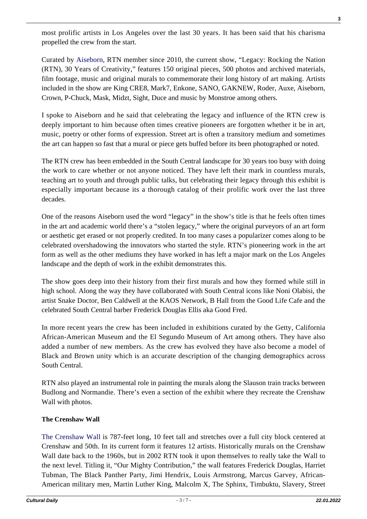most prolific artists in Los Angeles over the last 30 years. It has been said that his charisma propelled the crew from the start.

Curated by [Aiseborn](https://www.aiseborn.com/), RTN member since 2010, the current show, "Legacy: Rocking the Nation (RTN), 30 Years of Creativity," features 150 original pieces, 500 photos and archived materials, film footage, music and original murals to commemorate their long history of art making. Artists included in the show are King CRE8, Mark7, Enkone, SANO, GAKNEW, Roder, Auxe, Aiseborn, Crown, P-Chuck, Mask, Midzt, Sight, Duce and music by Monstroe among others.

I spoke to Aiseborn and he said that celebrating the legacy and influence of the RTN crew is deeply important to him because often times creative pioneers are forgotten whether it be in art, music, poetry or other forms of expression. Street art is often a transitory medium and sometimes the art can happen so fast that a mural or piece gets buffed before its been photographed or noted.

The RTN crew has been embedded in the South Central landscape for 30 years too busy with doing the work to care whether or not anyone noticed. They have left their mark in countless murals, teaching art to youth and through public talks, but celebrating their legacy through this exhibit is especially important because its a thorough catalog of their prolific work over the last three decades.

One of the reasons Aiseborn used the word "legacy" in the show's title is that he feels often times in the art and academic world there's a "stolen legacy," where the original purveyors of an art form or aesthetic get erased or not properly credited. In too many cases a popularizer comes along to be celebrated overshadowing the innovators who started the style. RTN's pioneering work in the art form as well as the other mediums they have worked in has left a major mark on the Los Angeles landscape and the depth of work in the exhibit demonstrates this.

The show goes deep into their history from their first murals and how they formed while still in high school. Along the way they have collaborated with South Central icons like Noni Olabisi, the artist Snake Doctor, Ben Caldwell at the KAOS Network, B Hall from the Good Life Cafe and the celebrated South Central barber Frederick Douglas Ellis aka Good Fred.

In more recent years the crew has been included in exhibitions curated by the Getty, California African-American Museum and the El Segundo Museum of Art among others. They have also added a number of new members. As the crew has evolved they have also become a model of Black and Brown unity which is an accurate description of the changing demographics across South Central.

RTN also played an instrumental role in painting the murals along the Slauson train tracks between Budlong and Normandie. There's even a section of the exhibit where they recreate the Crenshaw Wall with photos.

## **The Crenshaw Wall**

[The Crenshaw Wall i](https://ultrawav0.wixsite.com/crenshawwall#!)s 787-feet long, 10 feet tall and stretches over a full city block centered at Crenshaw and 50th. In its current form it features 12 artists. Historically murals on the Crenshaw Wall date back to the 1960s, but in 2002 RTN took it upon themselves to really take the Wall to the next level. Titling it, "Our Mighty Contribution," the wall features Frederick Douglas, Harriet Tubman, The Black Panther Party, Jimi Hendrix, Louis Armstrong, Marcus Garvey, African-American military men, Martin Luther King, Malcolm X, The Sphinx, Timbuktu, Slavery, Street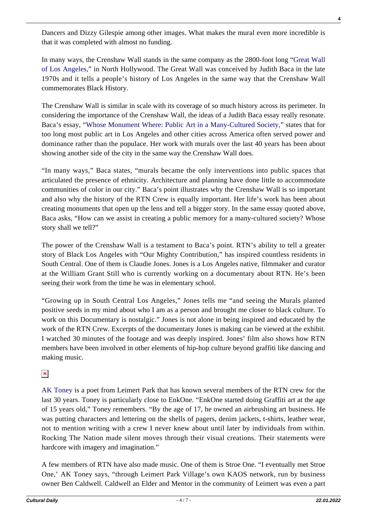[AK Toney i](https://www.kcet.org/shows/departures/leimert-park-art-village-the-struggle-with-a-sense-of-place)s a poet from Leimert Park that has known several members of the RTN crew for the last 30 years. Toney is particularly close to EnkOne. "EnkOne started doing Graffiti art at the age

of 15 years old," Toney remembers. "By the age of 17, he owned an airbrushing art business. He was putting characters and lettering on the shells of pagers, denim jackets, t-shirts, leather wear, not to mention writing with a crew I never knew about until later by individuals from within. Rocking The Nation made silent moves through their visual creations. Their statements were hardcore with imagery and imagination."

A few members of RTN have also made music. One of them is Stroe One. "I eventually met Stroe One,' AK Toney says, "through Leimert Park Village's own KAOS network, run by business owner Ben Caldwell. Caldwell an Elder and Mentor in the community of Leimert was even a part

Dancers and Dizzy Gilespie among other images. What makes the mural even more incredible is that it was completed with almost no funding.

In many ways, the Crenshaw Wall stands in the same company as the 2800-foot long ["Great Wall](http://sparcinla.org/programs/the-great-wall-mural-los-angeles/) [of Los Angeles,](http://sparcinla.org/programs/the-great-wall-mural-los-angeles/)" in North Hollywood. The Great Wall was conceived by Judith Baca in the late 1970s and it tells a people's history of Los Angeles in the same way that the Crenshaw Wall commemorates Black History.

The Crenshaw Wall is similar in scale with its coverage of so much history across its perimeter. In considering the importance of the Crenshaw Wall, the ideas of a Judith Baca essay really resonate. Baca's essay, "[Whose Monument Where: Public Art in a Many-Cultured Society,](https://www.csus.edu/indiv/o/obriene/art7/readings/judybaca.htm)" states that for too long most public art in Los Angeles and other cities across America often served power and dominance rather than the populace. Her work with murals over the last 40 years has been about showing another side of the city in the same way the Crenshaw Wall does.

"In many ways," Baca states, "murals became the only interventions into public spaces that articulated the presence of ethnicity. Architecture and planning have done little to accommodate communities of color in our city." Baca's point illustrates why the Crenshaw Wall is so important and also why the history of the RTN Crew is equally important. Her life's work has been about creating monuments that open up the lens and tell a bigger story. In the same essay quoted above, Baca asks, "How can we assist in creating a public memory for a many-cultured society? Whose story shall we tell?"

The power of the Crenshaw Wall is a testament to Baca's point. RTN's ability to tell a greater story of Black Los Angeles with "Our Mighty Contribution," has inspired countless residents in South Central. One of them is Claudie Jones. Jones is a Los Angeles native, filmmaker and curator at the William Grant Still who is currently working on a documentary about RTN. He's been seeing their work from the time he was in elementary school.

"Growing up in South Central Los Angeles," Jones tells me "and seeing the Murals planted positive seeds in my mind about who I am as a person and brought me closer to black culture. To work on this Documentary is nostalgic." Jones is not alone in being inspired and educated by the work of the RTN Crew. Excerpts of the documentary Jones is making can be viewed at the exhibit. I watched 30 minutes of the footage and was deeply inspired. Jones' film also shows how RTN members have been involved in other elements of hip-hop culture beyond graffiti like dancing and making music.

 $\pmb{\times}$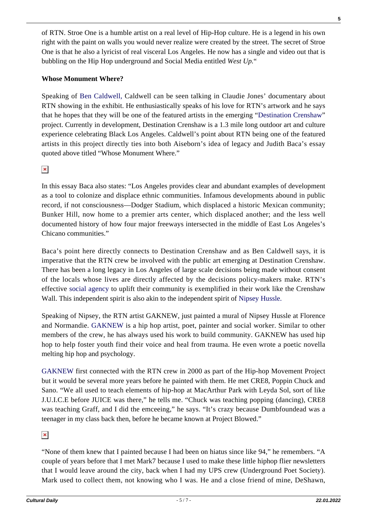of RTN. Stroe One is a humble artist on a real level of Hip-Hop culture. He is a legend in his own right with the paint on walls you would never realize were created by the street. The secret of Stroe One is that he also a lyricist of real visceral Los Angeles. He now has a single and video out that is bubbling on the Hip Hop underground and Social Media entitled *West Up.*"

#### **Whose Monument Where?**

Speaking of [Ben Caldwell,](https://en.wikipedia.org/wiki/Ben_Caldwell_(filmmaker)) Caldwell can be seen talking in Claudie Jones' documentary about RTN showing in the exhibit. He enthusiastically speaks of his love for RTN's artwork and he says that he hopes that they will be one of the featured artists in the emerging "[Destination Crenshaw"](http://destinationcrenshaw.la/) project. Currently in development, Destination Crenshaw is a 1.3 mile long outdoor art and culture experience celebrating Black Los Angeles. Caldwell's point about RTN being one of the featured artists in this project directly ties into both Aiseborn's idea of legacy and Judith Baca's essay quoted above titled "Whose Monument Where."

 $\pmb{\times}$ 

In this essay Baca also states: "Los Angeles provides clear and abundant examples of development as a tool to colonize and displace ethnic communities. Infamous developments abound in public record, if not consciousness—Dodger Stadium, which displaced a historic Mexican community; Bunker Hill, now home to a premier arts center, which displaced another; and the less well documented history of how four major freeways intersected in the middle of East Los Angeles's Chicano communities."

Baca's point here directly connects to Destination Crenshaw and as Ben Caldwell says, it is imperative that the RTN crew be involved with the public art emerging at Destination Crenshaw. There has been a long legacy in Los Angeles of large scale decisions being made without consent of the locals whose lives are directly affected by the decisions policy-makers make. RTN's effective [social agency](https://www.kcet.org/shows/city-rising/social-agency-art-gentrification-and-reclaiming-in-northeast-la-neighborhoods) to uplift their community is exemplified in their work like the Crenshaw Wall. This independent spirit is also akin to the independent spirit of [Nipsey Hussle.](https://www.culturalweekly.com/self-construction-bibliomancy-awp-portland-nipsey-part-2/)

Speaking of Nipsey, the RTN artist GAKNEW, just painted a mural of Nipsey Hussle at Florence and Normandie. [GAKNEW](https://www.culturalweekly.com/gaknew-roxwel-where-hip-hop-meets-psychology/) is a hip hop artist, poet, painter and social worker. Similar to other members of the crew, he has always used his work to build community. GAKNEW has used hip hop to help foster youth find their voice and heal from trauma. He even wrote a poetic novella melting hip hop and psychology.

[GAKNEW f](http://www.gaknew.com/)irst connected with the RTN crew in 2000 as part of the Hip-hop Movement Project but it would be several more years before he painted with them. He met CRE8, Poppin Chuck and Sano. "We all used to teach elements of hip-hop at MacArthur Park with Leyda Sol, sort of like J.U.I.C.E before JUICE was there," he tells me. "Chuck was teaching popping (dancing), CRE8 was teaching Graff, and I did the emceeing," he says. "It's crazy because Dumbfoundead was a teenager in my class back then, before he became known at Project Blowed."

## $\pmb{\times}$

"None of them knew that I painted because I had been on hiatus since like 94," he remembers. "A couple of years before that I met Mark7 because I used to make these little hiphop flier newsletters that I would leave around the city, back when I had my UPS crew (Underground Poet Society). Mark used to collect them, not knowing who I was. He and a close friend of mine, DeShawn,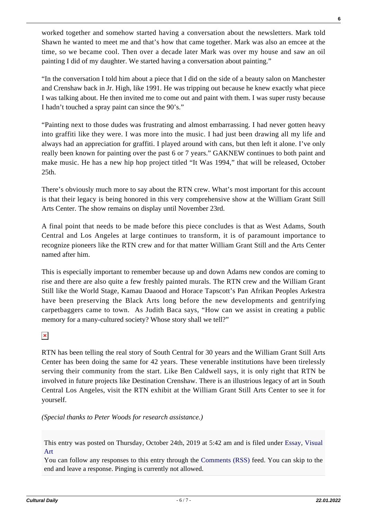worked together and somehow started having a conversation about the newsletters. Mark told Shawn he wanted to meet me and that's how that came together. Mark was also an emcee at the time, so we became cool. Then over a decade later Mark was over my house and saw an oil painting I did of my daughter. We started having a conversation about painting."

"In the conversation I told him about a piece that I did on the side of a beauty salon on Manchester and Crenshaw back in Jr. High, like 1991. He was tripping out because he knew exactly what piece I was talking about. He then invited me to come out and paint with them. I was super rusty because I hadn't touched a spray paint can since the 90's."

"Painting next to those dudes was frustrating and almost embarrassing. I had never gotten heavy into graffiti like they were. I was more into the music. I had just been drawing all my life and always had an appreciation for graffiti. I played around with cans, but then left it alone. I've only really been known for painting over the past 6 or 7 years." GAKNEW continues to both paint and make music. He has a new hip hop project titled "It Was 1994," that will be released, October 25th.

There's obviously much more to say about the RTN crew. What's most important for this account is that their legacy is being honored in this very comprehensive show at the William Grant Still Arts Center. The show remains on display until November 23rd.

A final point that needs to be made before this piece concludes is that as West Adams, South Central and Los Angeles at large continues to transform, it is of paramount importance to recognize pioneers like the RTN crew and for that matter William Grant Still and the Arts Center named after him.

This is especially important to remember because up and down Adams new condos are coming to rise and there are also quite a few freshly painted murals. The RTN crew and the William Grant Still like the World Stage, Kamau Daaood and Horace Tapscott's Pan Afrikan Peoples Arkestra have been preserving the Black Arts long before the new developments and gentrifying carpetbaggers came to town. As Judith Baca says, "How can we assist in creating a public memory for a many-cultured society? Whose story shall we tell?"

 $\pmb{\times}$ 

RTN has been telling the real story of South Central for 30 years and the William Grant Still Arts Center has been doing the same for 42 years. These venerable institutions have been tirelessly serving their community from the start. Like Ben Caldwell says, it is only right that RTN be involved in future projects like Destination Crenshaw. There is an illustrious legacy of art in South Central Los Angeles, visit the RTN exhibit at the William Grant Still Arts Center to see it for yourself.

*(Special thanks to Peter Woods for research assistance.)*

This entry was posted on Thursday, October 24th, 2019 at 5:42 am and is filed under [Essay](https://culturaldaily.com/category/literature/essay/), [Visual](https://culturaldaily.com/category/visual-art/) [Art](https://culturaldaily.com/category/visual-art/)

You can follow any responses to this entry through the [Comments \(RSS\)](https://culturaldaily.com/comments/feed/) feed. You can skip to the end and leave a response. Pinging is currently not allowed.